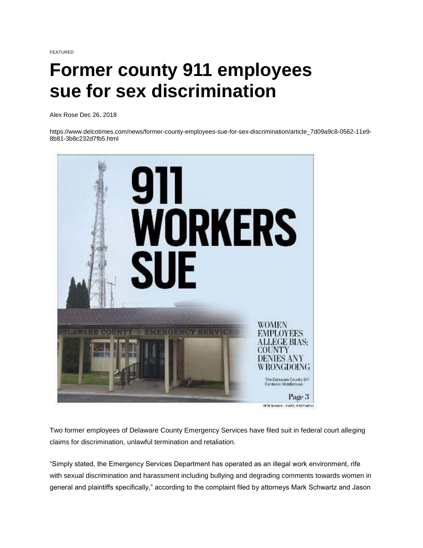FEATURED

## **Former county 911 employees sue for sex discrimination**

[Alex Rose](https://www.delcotimes.com/users/profile/Alex%20Rose) Dec 26, 2018

https://www.delcotimes.com/news/former-county-employees-sue-for-sex-discrimination/article\_7d09a9c8-0562-11e9- 8b81-3b8c232d7fb5.html



Two former employees of Delaware County Emergency Services have filed suit in federal court alleging claims for discrimination, unlawful termination and retaliation.

"Simply stated, the Emergency Services Department has operated as an illegal work environment, rife with sexual discrimination and harassment including bullying and degrading comments towards women in general and plaintiffs specifically," according to the complaint filed by attorneys Mark Schwartz and Jason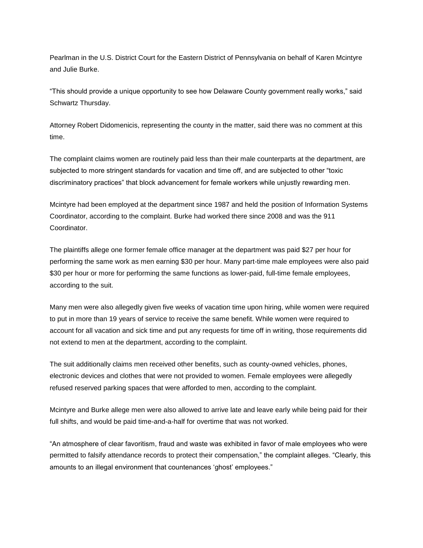Pearlman in the U.S. District Court for the Eastern District of Pennsylvania on behalf of Karen Mcintyre and Julie Burke.

"This should provide a unique opportunity to see how Delaware County government really works," said Schwartz Thursday.

Attorney Robert Didomenicis, representing the county in the matter, said there was no comment at this time.

The complaint claims women are routinely paid less than their male counterparts at the department, are subjected to more stringent standards for vacation and time off, and are subjected to other "toxic discriminatory practices" that block advancement for female workers while unjustly rewarding men.

Mcintyre had been employed at the department since 1987 and held the position of Information Systems Coordinator, according to the complaint. Burke had worked there since 2008 and was the 911 Coordinator.

The plaintiffs allege one former female office manager at the department was paid \$27 per hour for performing the same work as men earning \$30 per hour. Many part-time male employees were also paid \$30 per hour or more for performing the same functions as lower-paid, full-time female employees, according to the suit.

Many men were also allegedly given five weeks of vacation time upon hiring, while women were required to put in more than 19 years of service to receive the same benefit. While women were required to account for all vacation and sick time and put any requests for time off in writing, those requirements did not extend to men at the department, according to the complaint.

The suit additionally claims men received other benefits, such as county-owned vehicles, phones, electronic devices and clothes that were not provided to women. Female employees were allegedly refused reserved parking spaces that were afforded to men, according to the complaint.

Mcintyre and Burke allege men were also allowed to arrive late and leave early while being paid for their full shifts, and would be paid time-and-a-half for overtime that was not worked.

"An atmosphere of clear favoritism, fraud and waste was exhibited in favor of male employees who were permitted to falsify attendance records to protect their compensation," the complaint alleges. "Clearly, this amounts to an illegal environment that countenances 'ghost' employees."